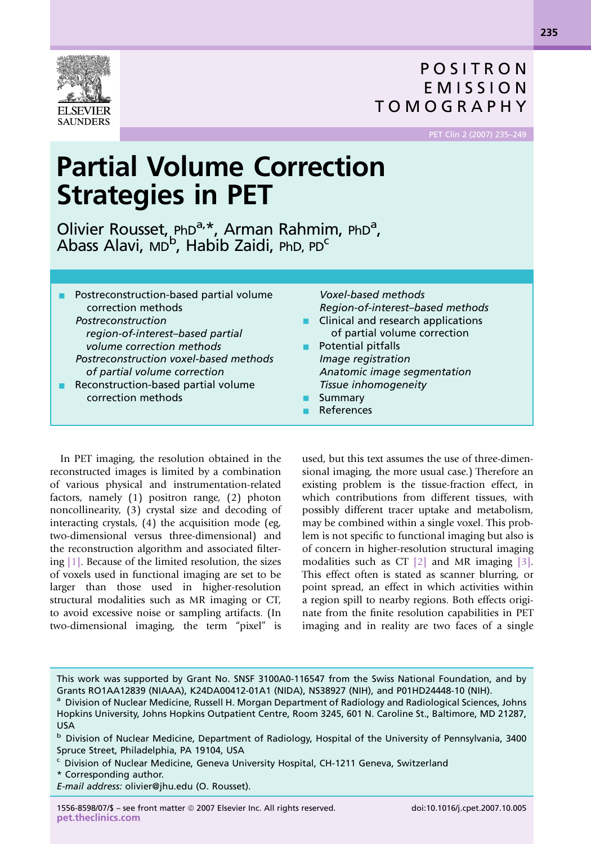# POSITRON EMISSION TOMOGRAPHY

# Partial Volume Correction Strategies in PET

**FI SEVIER SAUNDERS** 

Olivier Rousset, <sub>PhD</sub>a,\*, Arman Rahmim, <sub>PhD</sub>a,<br>Abass Alavi, mp<sup>b</sup>, Habib Zaidi, <sub>PhD, PD</sub>c Abass Alavi, MD<sup>b</sup>, Habib Zaidi, PhD, PD<sup>c</sup>

| Postreconstruction-based partial volume<br>correction methods<br>Postreconstruction<br>region-of-interest-based partial<br>volume correction methods | Voxel-based methods<br>Region-of-interest-based methods<br>■ Clinical and research applications<br>of partial volume correction<br><b>Potential pitfalls</b> |
|------------------------------------------------------------------------------------------------------------------------------------------------------|--------------------------------------------------------------------------------------------------------------------------------------------------------------|
| Postreconstruction voxel-based methods<br>of partial volume correction<br>Reconstruction-based partial volume<br>correction methods                  | Image registration<br>Anatomic image segmentation<br>Tissue inhomogeneity<br>Summary<br>References                                                           |

In PET imaging, the resolution obtained in the reconstructed images is limited by a combination of various physical and instrumentation-related factors, namely (1) positron range, (2) photon noncollinearity, (3) crystal size and decoding of interacting crystals, (4) the acquisition mode (eg, two-dimensional versus three-dimensional) and the reconstruction algorithm and associated filtering [\[1\].](#page-11-0) Because of the limited resolution, the sizes of voxels used in functional imaging are set to be larger than those used in higher-resolution structural modalities such as MR imaging or CT, to avoid excessive noise or sampling artifacts. (In two-dimensional imaging, the term ''pixel'' is

used, but this text assumes the use of three-dimensional imaging, the more usual case.) Therefore an existing problem is the tissue-fraction effect, in which contributions from different tissues, with possibly different tracer uptake and metabolism, may be combined within a single voxel. This problem is not specific to functional imaging but also is of concern in higher-resolution structural imaging modalities such as CT [\[2\]](#page-11-0) and MR imaging [\[3\].](#page-11-0) This effect often is stated as scanner blurring, or point spread, an effect in which activities within a region spill to nearby regions. Both effects originate from the finite resolution capabilities in PET imaging and in reality are two faces of a single

This work was supported by Grant No. SNSF 3100A0-116547 from the Swiss National Foundation, and by Grants RO1AA12839 (NIAAA), K24DA00412-01A1 (NIDA), NS38927 (NIH), and P01HD24448-10 (NIH).

a Division of Nuclear Medicine, Russell H. Morgan Department of Radiology and Radiological Sciences, Johns Hopkins University, Johns Hopkins Outpatient Centre, Room 3245, 601 N. Caroline St., Baltimore, MD 21287, USA

<sup>b</sup> Division of Nuclear Medicine, Department of Radiology, Hospital of the University of Pennsylvania, 3400 Spruce Street, Philadelphia, PA 19104, USA

<sup>c</sup> Division of Nuclear Medicine, Geneva University Hospital, CH-1211 Geneva, Switzerland

<sup>\*</sup> Corresponding author.

E-mail address: [olivier@jhu.edu](mailto:olivier@jhu.edu) (O. Rousset).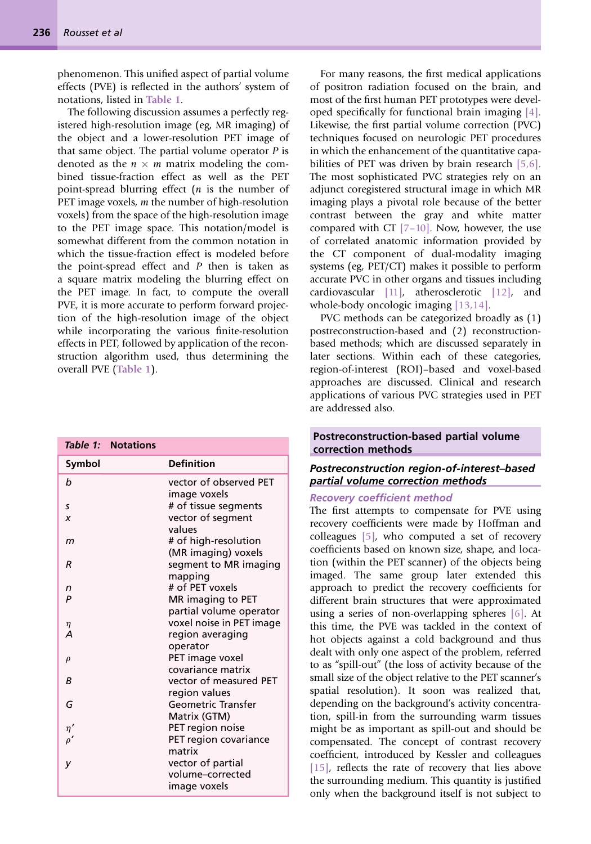phenomenon. This unified aspect of partial volume effects (PVE) is reflected in the authors' system of notations, listed in Table 1.

The following discussion assumes a perfectly registered high-resolution image (eg, MR imaging) of the object and a lower-resolution PET image of that same object. The partial volume operator  $P$  is denoted as the  $n \times m$  matrix modeling the combined tissue-fraction effect as well as the PET point-spread blurring effect  $(n$  is the number of PET image voxels, *m* the number of high-resolution voxels) from the space of the high-resolution image to the PET image space. This notation/model is somewhat different from the common notation in which the tissue-fraction effect is modeled before the point-spread effect and  $P$  then is taken as a square matrix modeling the blurring effect on the PET image. In fact, to compute the overall PVE, it is more accurate to perform forward projection of the high-resolution image of the object while incorporating the various finite-resolution effects in PET, followed by application of the reconstruction algorithm used, thus determining the overall PVE (Table 1).

|                  | Table 1: Notations |                             |
|------------------|--------------------|-----------------------------|
| Symbol           |                    | <b>Definition</b>           |
| h                |                    | vector of observed PET      |
|                  |                    | image voxels                |
| S                |                    | # of tissue segments        |
| $\boldsymbol{x}$ |                    | vector of segment<br>values |
| m                |                    | # of high-resolution        |
|                  |                    | (MR imaging) voxels         |
| R                |                    | segment to MR imaging       |
|                  |                    | mapping                     |
| n                |                    | # of PET voxels             |
| P                |                    | MR imaging to PET           |
|                  |                    | partial volume operator     |
| η                |                    | voxel noise in PET image    |
| A                |                    | region averaging            |
|                  |                    | operator                    |
| $\rho$           |                    | PET image voxel             |
|                  |                    | covariance matrix           |
| B                |                    | vector of measured PET      |
|                  |                    | region values               |
| G                |                    | <b>Geometric Transfer</b>   |
|                  |                    | Matrix (GTM)                |
| $\eta'$          |                    | PET region noise            |
| $\rho'$          |                    | PET region covariance       |
|                  |                    | matrix                      |
| V                |                    | vector of partial           |
|                  |                    | volume-corrected            |
|                  |                    | image voxels                |

For many reasons, the first medical applications of positron radiation focused on the brain, and most of the first human PET prototypes were developed specifically for functional brain imaging [\[4\]](#page-11-0). Likewise, the first partial volume correction (PVC) techniques focused on neurologic PET procedures in which the enhancement of the quantitative capa-bilities of PET was driven by brain research [\[5,6\]](#page-11-0). The most sophisticated PVC strategies rely on an adjunct coregistered structural image in which MR imaging plays a pivotal role because of the better contrast between the gray and white matter compared with CT  $[7-10]$ . Now, however, the use of correlated anatomic information provided by the CT component of dual-modality imaging systems (eg, PET/CT) makes it possible to perform accurate PVC in other organs and tissues including cardiovascular [\[11\]](#page-11-0), atherosclerotic [\[12\],](#page-11-0) and whole-body oncologic imaging [\[13,14\]](#page-11-0).

PVC methods can be categorized broadly as (1) postreconstruction-based and (2) reconstructionbased methods; which are discussed separately in later sections. Within each of these categories, region-of-interest (ROI)–based and voxel-based approaches are discussed. Clinical and research applications of various PVC strategies used in PET are addressed also.

# Postreconstruction-based partial volume correction methods

# Postreconstruction region-of-interest–based partial volume correction methods

## Recovery coefficient method

The first attempts to compensate for PVE using recovery coefficients were made by Hoffman and colleagues [\[5\],](#page-11-0) who computed a set of recovery coefficients based on known size, shape, and location (within the PET scanner) of the objects being imaged. The same group later extended this approach to predict the recovery coefficients for different brain structures that were approximated using a series of non-overlapping spheres [\[6\].](#page-11-0) At this time, the PVE was tackled in the context of hot objects against a cold background and thus dealt with only one aspect of the problem, referred to as ''spill-out'' (the loss of activity because of the small size of the object relative to the PET scanner's spatial resolution). It soon was realized that, depending on the background's activity concentration, spill-in from the surrounding warm tissues might be as important as spill-out and should be compensated. The concept of contrast recovery coefficient, introduced by Kessler and colleagues [\[15\]](#page-11-0), reflects the rate of recovery that lies above the surrounding medium. This quantity is justified only when the background itself is not subject to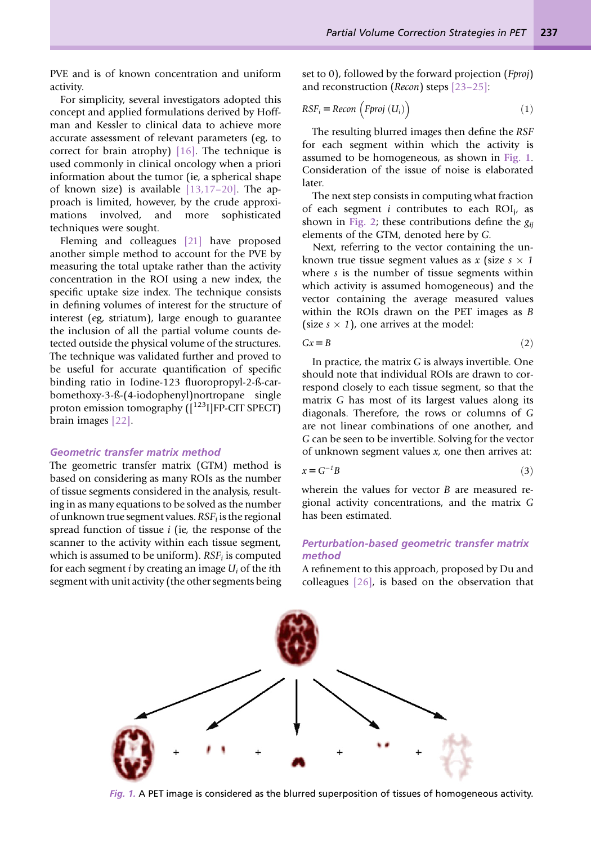PVE and is of known concentration and uniform activity.

For simplicity, several investigators adopted this concept and applied formulations derived by Hoffman and Kessler to clinical data to achieve more accurate assessment of relevant parameters (eg, to correct for brain atrophy) [\[16\].](#page-11-0) The technique is used commonly in clinical oncology when a priori information about the tumor (ie, a spherical shape of known size) is available [\[13,17–20\].](#page-11-0) The approach is limited, however, by the crude approximations involved, and more sophisticated techniques were sought.

Fleming and colleagues [\[21\]](#page-12-0) have proposed another simple method to account for the PVE by measuring the total uptake rather than the activity concentration in the ROI using a new index, the specific uptake size index. The technique consists in defining volumes of interest for the structure of interest (eg, striatum), large enough to guarantee the inclusion of all the partial volume counts detected outside the physical volume of the structures. The technique was validated further and proved to be useful for accurate quantification of specific binding ratio in Iodine-123 fluoropropyl-2-ß-carbomethoxy-3-ß-(4-iodophenyl)nortropane single proton emission tomography  $($ [ $123$ ] [FP-CIT SPECT)] brain images [\[22\]](#page-12-0).

#### Geometric transfer matrix method

The geometric transfer matrix (GTM) method is based on considering as many ROIs as the number of tissue segments considered in the analysis, resulting in as many equations to be solved as the number of unknown true segment values.  $RSF_i$  is the regional spread function of tissue  $i$  (ie, the response of the scanner to the activity within each tissue segment, which is assumed to be uniform).  $RSF_i$  is computed for each segment  $i$  by creating an image  $U_i$  of the *i*th segment with unit activity (the other segments being set to 0), followed by the forward projection (Fproj) and reconstruction (Recon) steps [\[23–25\]:](#page-12-0)

$$
RSF_i = Recon (Fproj (U_i))
$$
 (1)

The resulting blurred images then define the RSF for each segment within which the activity is assumed to be homogeneous, as shown in Fig. 1. Consideration of the issue of noise is elaborated later.

The next step consists in computing what fraction of each segment *i* contributes to each ROI<sub>i</sub>, as shown in [Fig. 2](#page-3-0); these contributions define the  $g_{ii}$ elements of the GTM, denoted here by G.

Next, referring to the vector containing the unknown true tissue segment values as x (size  $s \times 1$ where  $s$  is the number of tissue segments within which activity is assumed homogeneous) and the vector containing the average measured values within the ROIs drawn on the PET images as B (size  $s \times 1$ ), one arrives at the model:

$$
Gx = B \tag{2}
$$

In practice, the matrix G is always invertible. One should note that individual ROIs are drawn to correspond closely to each tissue segment, so that the matrix G has most of its largest values along its diagonals. Therefore, the rows or columns of G are not linear combinations of one another, and G can be seen to be invertible. Solving for the vector of unknown segment values  $x$ , one then arrives at:

$$
x = G^{-1}B \tag{3}
$$

wherein the values for vector B are measured regional activity concentrations, and the matrix G has been estimated.

# Perturbation-based geometric transfer matrix method

A refinement to this approach, proposed by Du and colleagues [\[26\]](#page-12-0), is based on the observation that



Fig. 1. A PET image is considered as the blurred superposition of tissues of homogeneous activity.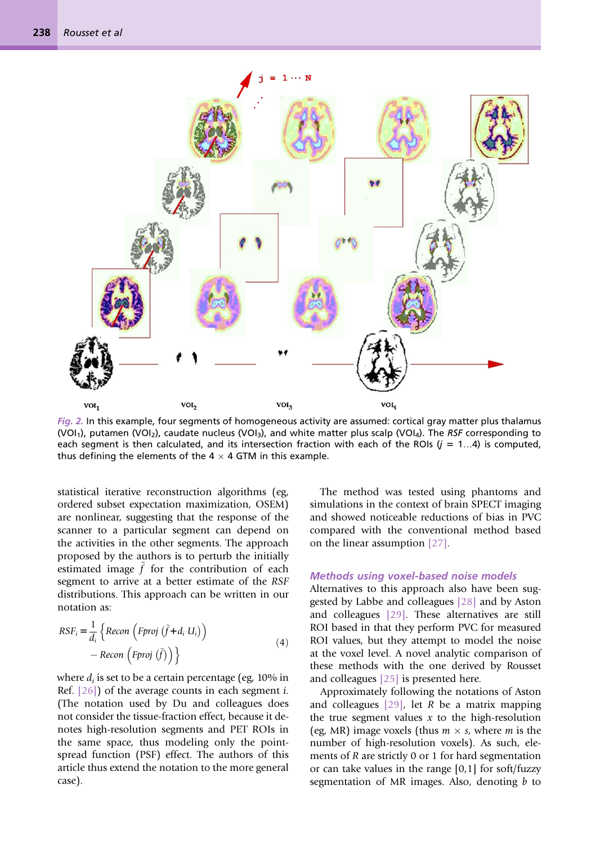<span id="page-3-0"></span>

Fig. 2. In this example, four segments of homogeneous activity are assumed: cortical gray matter plus thalamus (VOI<sub>1</sub>), putamen (VOI<sub>2</sub>), caudate nucleus (VOI<sub>3</sub>), and white matter plus scalp (VOI<sub>4</sub>). The RSF corresponding to each segment is then calculated, and its intersection fraction with each of the ROIs  $(i = 1..4)$  is computed, thus defining the elements of the 4  $\times$  4 GTM in this example.

statistical iterative reconstruction algorithms (eg, ordered subset expectation maximization, OSEM) are nonlinear, suggesting that the response of the scanner to a particular segment can depend on the activities in the other segments. The approach proposed by the authors is to perturb the initially estimated image  $\tilde{f}$  for the contribution of each segment to arrive at a better estimate of the RSF distributions. This approach can be written in our notation as:

$$
RSF_i = \frac{1}{d_i} \left\{ Recon \left(Fproj \left(\tilde{f} + d_i U_i\right)\right) - Recon \left(Fproj \left(\tilde{f}\right)\right) \right\}
$$
\n
$$
(4)
$$

where  $d_i$  is set to be a certain percentage (eg, 10% in Ref.  $[26]$ ) of the average counts in each segment *i*. (The notation used by Du and colleagues does not consider the tissue-fraction effect, because it denotes high-resolution segments and PET ROIs in the same space, thus modeling only the pointspread function (PSF) effect. The authors of this article thus extend the notation to the more general case).

The method was tested using phantoms and simulations in the context of brain SPECT imaging and showed noticeable reductions of bias in PVC compared with the conventional method based on the linear assumption [\[27\]](#page-12-0).

#### Methods using voxel-based noise models

Alternatives to this approach also have been suggested by Labbe and colleagues [\[28\]](#page-12-0) and by Aston and colleagues [\[29\].](#page-12-0) These alternatives are still ROI based in that they perform PVC for measured ROI values, but they attempt to model the noise at the voxel level. A novel analytic comparison of these methods with the one derived by Rousset and colleagues [\[25\]](#page-12-0) is presented here.

Approximately following the notations of Aston and colleagues  $[29]$ , let R be a matrix mapping the true segment values  $x$  to the high-resolution (eg, MR) image voxels (thus  $m \times s$ , where m is the number of high-resolution voxels). As such, elements of R are strictly 0 or 1 for hard segmentation or can take values in the range [0,1] for soft/fuzzy segmentation of MR images. Also, denoting  *to*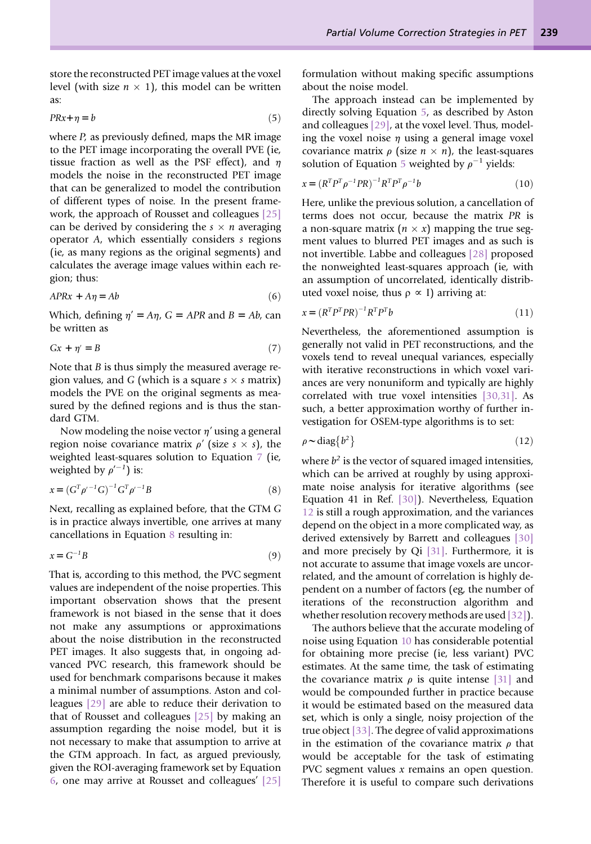<span id="page-4-0"></span>store the reconstructed PET image values at the voxel level (with size  $n \times 1$ ), this model can be written as:

$$
PRx + \eta = b \tag{5}
$$

where  $P$ , as previously defined, maps the MR image to the PET image incorporating the overall PVE (ie, tissue fraction as well as the PSF effect), and  $\eta$ models the noise in the reconstructed PET image that can be generalized to model the contribution of different types of noise. In the present framework, the approach of Rousset and colleagues [\[25\]](#page-12-0) can be derived by considering the  $s \times n$  averaging operator A, which essentially considers s regions (ie, as many regions as the original segments) and calculates the average image values within each region; thus:

$$
APRx + A\eta = Ab \tag{6}
$$

Which, defining  $\eta' = A\eta$ ,  $G = APR$  and  $B = Ab$ , can be written as

$$
Gx + \eta' = B \tag{7}
$$

Note that  $B$  is thus simply the measured average region values, and G (which is a square  $s \times s$  matrix) models the PVE on the original segments as measured by the defined regions and is thus the standard GTM.

Now modeling the noise vector  $\eta'$  using a general region noise covariance matrix  $\rho'$  (size  $s \times s$ ), the weighted least-squares solution to Equation 7 (ie, weighted by  $\rho'^{-1}$ ) is:

$$
x = (G^T \rho'^{-1} G)^{-1} G^T \rho'^{-1} B \tag{8}
$$

Next, recalling as explained before, that the GTM G is in practice always invertible, one arrives at many cancellations in Equation 8 resulting in:

$$
x = G^{-1}B \tag{9}
$$

That is, according to this method, the PVC segment values are independent of the noise properties. This important observation shows that the present framework is not biased in the sense that it does not make any assumptions or approximations about the noise distribution in the reconstructed PET images. It also suggests that, in ongoing advanced PVC research, this framework should be used for benchmark comparisons because it makes a minimal number of assumptions. Aston and colleagues [\[29\]](#page-12-0) are able to reduce their derivation to that of Rousset and colleagues [\[25\]](#page-12-0) by making an assumption regarding the noise model, but it is not necessary to make that assumption to arrive at the GTM approach. In fact, as argued previously, given the ROI-averaging framework set by Equation 6, one may arrive at Rousset and colleagues' [\[25\]](#page-12-0)

formulation without making specific assumptions about the noise model.

The approach instead can be implemented by directly solving Equation 5, as described by Aston and colleagues [\[29\]](#page-12-0), at the voxel level. Thus, modeling the voxel noise  $\eta$  using a general image voxel covariance matrix  $\rho$  (size  $n \times n$ ), the least-squares solution of Equation 5 weighted by  $\rho^{-1}$  yields:

$$
x = (R^T P^T \rho^{-1} P R)^{-1} R^T P^T \rho^{-1} b \tag{10}
$$

Here, unlike the previous solution, a cancellation of terms does not occur, because the matrix PR is a non-square matrix  $(n \times x)$  mapping the true segment values to blurred PET images and as such is not invertible. Labbe and colleagues [\[28\]](#page-12-0) proposed the nonweighted least-squares approach (ie, with an assumption of uncorrelated, identically distributed voxel noise, thus  $\rho \propto I$ ) arriving at:

$$
x = (R^T P^T P R)^{-1} R^T P^T b \tag{11}
$$

Nevertheless, the aforementioned assumption is generally not valid in PET reconstructions, and the voxels tend to reveal unequal variances, especially with iterative reconstructions in which voxel variances are very nonuniform and typically are highly correlated with true voxel intensities [\[30,31\].](#page-12-0) As such, a better approximation worthy of further investigation for OSEM-type algorithms is to set:

$$
\rho \sim \text{diag}\{b^2\} \tag{12}
$$

where  $b^2$  is the vector of squared imaged intensities, which can be arrived at roughly by using approximate noise analysis for iterative algorithms (see Equation 41 in Ref. [\[30\]\)](#page-12-0). Nevertheless, Equation 12 is still a rough approximation, and the variances depend on the object in a more complicated way, as derived extensively by Barrett and colleagues [\[30\]](#page-12-0) and more precisely by Qi [\[31\]](#page-12-0). Furthermore, it is not accurate to assume that image voxels are uncorrelated, and the amount of correlation is highly dependent on a number of factors (eg, the number of iterations of the reconstruction algorithm and whether resolution recovery methods are used [\[32\]](#page-12-0)).

The authors believe that the accurate modeling of noise using Equation 10 has considerable potential for obtaining more precise (ie, less variant) PVC estimates. At the same time, the task of estimating the covariance matrix  $\rho$  is quite intense [\[31\]](#page-12-0) and would be compounded further in practice because it would be estimated based on the measured data set, which is only a single, noisy projection of the true object [\[33\]](#page-12-0). The degree of valid approximations in the estimation of the covariance matrix  $\rho$  that would be acceptable for the task of estimating PVC segment values  $x$  remains an open question. Therefore it is useful to compare such derivations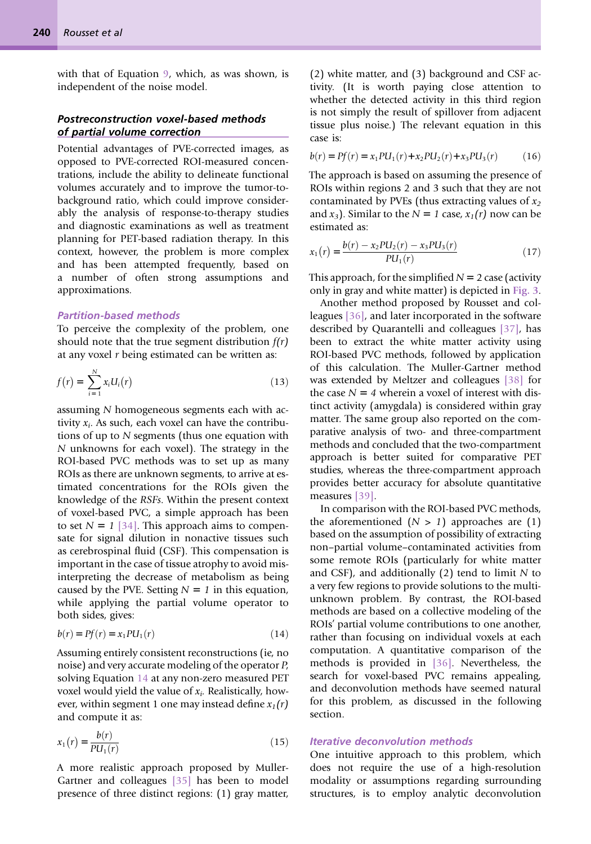with that of Equation [9](#page-4-0), which, as was shown, is independent of the noise model.

# Postreconstruction voxel-based methods of partial volume correction

Potential advantages of PVE-corrected images, as opposed to PVE-corrected ROI-measured concentrations, include the ability to delineate functional volumes accurately and to improve the tumor-tobackground ratio, which could improve considerably the analysis of response-to-therapy studies and diagnostic examinations as well as treatment planning for PET-based radiation therapy. In this context, however, the problem is more complex and has been attempted frequently, based on a number of often strong assumptions and approximations.

# Partition-based methods

To perceive the complexity of the problem, one should note that the true segment distribution  $f(r)$ at any voxel  $r$  being estimated can be written as:

$$
f(r) = \sum_{i=1}^{N} x_i U_i(r) \tag{13}
$$

assuming N homogeneous segments each with activity  $x_i$ . As such, each voxel can have the contributions of up to N segments (thus one equation with N unknowns for each voxel). The strategy in the ROI-based PVC methods was to set up as many ROIs as there are unknown segments, to arrive at estimated concentrations for the ROIs given the knowledge of the RSFs. Within the present context of voxel-based PVC, a simple approach has been to set  $N = 1$  [\[34\].](#page-12-0) This approach aims to compensate for signal dilution in nonactive tissues such as cerebrospinal fluid (CSF). This compensation is important in the case of tissue atrophy to avoid misinterpreting the decrease of metabolism as being caused by the PVE. Setting  $N = 1$  in this equation, while applying the partial volume operator to both sides, gives:

$$
b(r) = Pf(r) = x_1 P U_1(r)
$$
\n
$$
(14)
$$

Assuming entirely consistent reconstructions (ie, no noise) and very accurate modeling of the operator P, solving Equation 14 at any non-zero measured PET voxel would yield the value of  $x_i$ . Realistically, however, within segment 1 one may instead define  $x_1(r)$ and compute it as:

$$
x_1(r) = \frac{b(r)}{PU_1(r)}\tag{15}
$$

A more realistic approach proposed by Muller-Gartner and colleagues [\[35\]](#page-12-0) has been to model presence of three distinct regions: (1) gray matter,

(2) white matter, and (3) background and CSF activity. (It is worth paying close attention to whether the detected activity in this third region is not simply the result of spillover from adjacent tissue plus noise.) The relevant equation in this case is:

$$
b(r) = Pf(r) = x_1 P U_1(r) + x_2 P U_2(r) + x_3 P U_3(r)
$$
 (16)

The approach is based on assuming the presence of ROIs within regions 2 and 3 such that they are not contaminated by PVEs (thus extracting values of  $x_2$ ) and  $x_3$ ). Similar to the  $N = 1$  case,  $x_1(r)$  now can be estimated as:

$$
x_1(r) = \frac{b(r) - x_2PU_2(r) - x_3PU_3(r)}{PU_1(r)}
$$
(17)

This approach, for the simplified  $N = 2$  case (activity only in gray and white matter) is depicted in [Fig. 3](#page-6-0).

Another method proposed by Rousset and colleagues [\[36\],](#page-12-0) and later incorporated in the software described by Quarantelli and colleagues [\[37\],](#page-12-0) has been to extract the white matter activity using ROI-based PVC methods, followed by application of this calculation. The Muller-Gartner method was extended by Meltzer and colleagues [\[38\]](#page-12-0) for the case  $N = 4$  wherein a voxel of interest with distinct activity (amygdala) is considered within gray matter. The same group also reported on the comparative analysis of two- and three-compartment methods and concluded that the two-compartment approach is better suited for comparative PET studies, whereas the three-compartment approach provides better accuracy for absolute quantitative measures [\[39\].](#page-12-0)

In comparison with the ROI-based PVC methods, the aforementioned  $(N > 1)$  approaches are  $(1)$ based on the assumption of possibility of extracting non–partial volume–contaminated activities from some remote ROIs (particularly for white matter and CSF), and additionally  $(2)$  tend to limit N to a very few regions to provide solutions to the multiunknown problem. By contrast, the ROI-based methods are based on a collective modeling of the ROIs' partial volume contributions to one another, rather than focusing on individual voxels at each computation. A quantitative comparison of the methods is provided in [\[36\]](#page-12-0). Nevertheless, the search for voxel-based PVC remains appealing, and deconvolution methods have seemed natural for this problem, as discussed in the following section.

## Iterative deconvolution methods

One intuitive approach to this problem, which does not require the use of a high-resolution modality or assumptions regarding surrounding structures, is to employ analytic deconvolution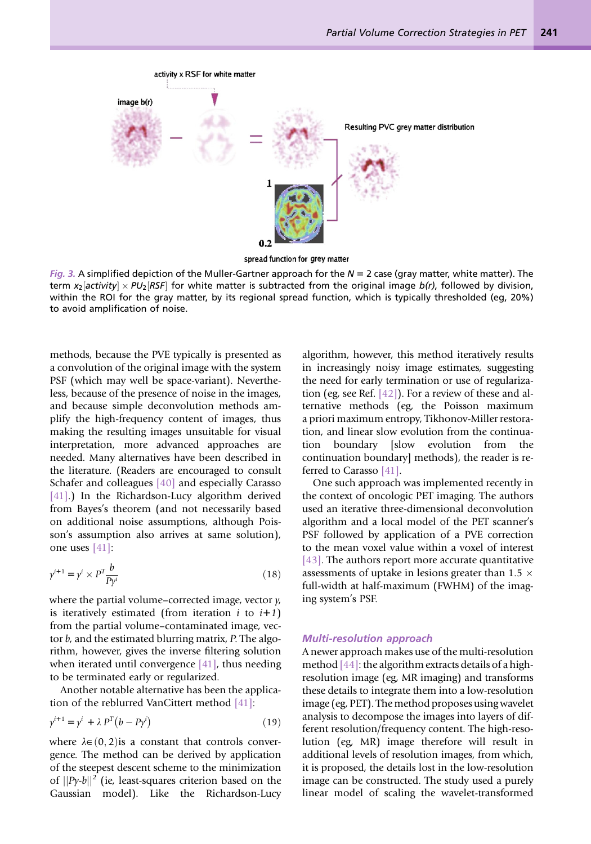<span id="page-6-0"></span>

Fig. 3. A simplified depiction of the Muller-Gartner approach for the  $N = 2$  case (gray matter, white matter). The term  $x_2$ [activity]  $\times$  PU $_2$ [RSF] for white matter is subtracted from the original image b(r), followed by division, within the ROI for the gray matter, by its regional spread function, which is typically thresholded (eg, 20%) to avoid amplification of noise.

methods, because the PVE typically is presented as a convolution of the original image with the system PSF (which may well be space-variant). Nevertheless, because of the presence of noise in the images, and because simple deconvolution methods amplify the high-frequency content of images, thus making the resulting images unsuitable for visual interpretation, more advanced approaches are needed. Many alternatives have been described in the literature. (Readers are encouraged to consult Schafer and colleagues [\[40\]](#page-12-0) and especially Carasso [\[41\].](#page-12-0)) In the Richardson-Lucy algorithm derived from Bayes's theorem (and not necessarily based on additional noise assumptions, although Poisson's assumption also arrives at same solution), one uses [\[41\]:](#page-12-0)

$$
y^{i+1} = y^i \times P^T \frac{b}{P y^i}
$$
\n<sup>(18)</sup>

where the partial volume–corrected image, vector y, is iteratively estimated (from iteration  $i$  to  $i+1$ ) from the partial volume–contaminated image, vector  $b$ , and the estimated blurring matrix,  $P$ . The algorithm, however, gives the inverse filtering solution when iterated until convergence [\[41\],](#page-12-0) thus needing to be terminated early or regularized.

Another notable alternative has been the application of the reblurred VanCittert method [\[41\]](#page-12-0):

$$
\gamma^{i+1} = \gamma^i + \lambda P^T (b - P \gamma^i) \tag{19}
$$

where  $\lambda \in (0, 2)$  is a constant that controls convergence. The method can be derived by application of the steepest descent scheme to the minimization of  $\vert \vert Py-b \vert \vert^2$  (ie, least-squares criterion based on the Gaussian model). Like the Richardson-Lucy algorithm, however, this method iteratively results in increasingly noisy image estimates, suggesting the need for early termination or use of regularization (eg, see Ref. [\[42\]\)](#page-12-0). For a review of these and alternative methods (eg, the Poisson maximum a priori maximum entropy, Tikhonov-Miller restoration, and linear slow evolution from the continuation boundary [slow evolution from the continuation boundary] methods), the reader is referred to Carasso [\[41\]](#page-12-0).

One such approach was implemented recently in the context of oncologic PET imaging. The authors used an iterative three-dimensional deconvolution algorithm and a local model of the PET scanner's PSF followed by application of a PVE correction to the mean voxel value within a voxel of interest [\[43\].](#page-12-0) The authors report more accurate quantitative assessments of uptake in lesions greater than 1.5  $\times$ full-width at half-maximum (FWHM) of the imaging system's PSF.

#### Multi-resolution approach

A newer approach makes use of the multi-resolution method  $[44]$ : the algorithm extracts details of a highresolution image (eg, MR imaging) and transforms these details to integrate them into a low-resolution image (eg, PET). The method proposes using wavelet analysis to decompose the images into layers of different resolution/frequency content. The high-resolution (eg, MR) image therefore will result in additional levels of resolution images, from which, it is proposed, the details lost in the low-resolution image can be constructed. The study used a purely linear model of scaling the wavelet-transformed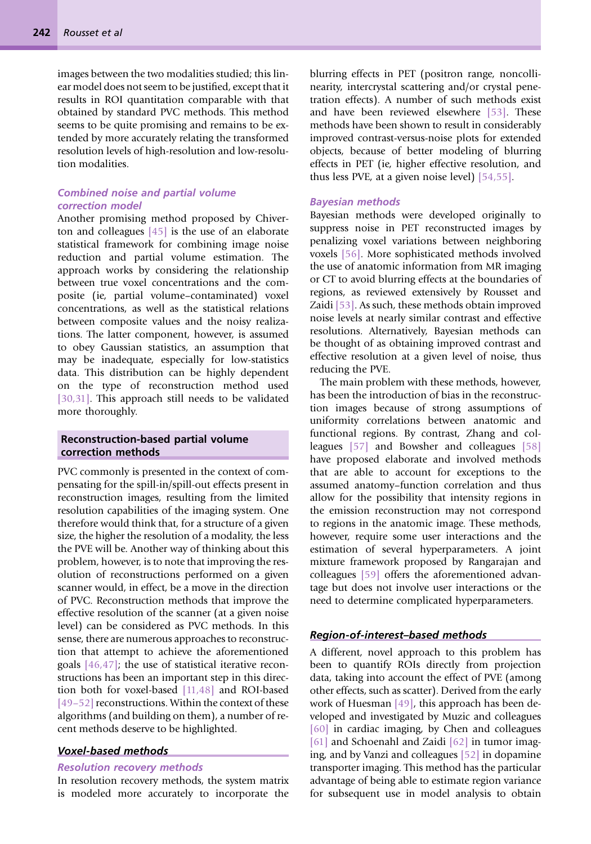images between the two modalities studied; this linear model does not seem to be justified, except that it results in ROI quantitation comparable with that obtained by standard PVC methods. This method seems to be quite promising and remains to be extended by more accurately relating the transformed resolution levels of high-resolution and low-resolution modalities.

# Combined noise and partial volume correction model

Another promising method proposed by Chiverton and colleagues  $[45]$  is the use of an elaborate statistical framework for combining image noise reduction and partial volume estimation. The approach works by considering the relationship between true voxel concentrations and the composite (ie, partial volume–contaminated) voxel concentrations, as well as the statistical relations between composite values and the noisy realizations. The latter component, however, is assumed to obey Gaussian statistics, an assumption that may be inadequate, especially for low-statistics data. This distribution can be highly dependent on the type of reconstruction method used [\[30,31\]](#page-12-0). This approach still needs to be validated more thoroughly.

# Reconstruction-based partial volume correction methods

PVC commonly is presented in the context of compensating for the spill-in/spill-out effects present in reconstruction images, resulting from the limited resolution capabilities of the imaging system. One therefore would think that, for a structure of a given size, the higher the resolution of a modality, the less the PVE will be. Another way of thinking about this problem, however, is to note that improving the resolution of reconstructions performed on a given scanner would, in effect, be a move in the direction of PVC. Reconstruction methods that improve the effective resolution of the scanner (at a given noise level) can be considered as PVC methods. In this sense, there are numerous approaches to reconstruction that attempt to achieve the aforementioned goals [\[46,47\];](#page-12-0) the use of statistical iterative reconstructions has been an important step in this direction both for voxel-based [\[11,48\]](#page-11-0) and ROI-based  $[49-52]$  reconstructions. Within the context of these algorithms (and building on them), a number of recent methods deserve to be highlighted.

# Voxel-based methods

#### Resolution recovery methods

In resolution recovery methods, the system matrix is modeled more accurately to incorporate the blurring effects in PET (positron range, noncollinearity, intercrystal scattering and/or crystal penetration effects). A number of such methods exist and have been reviewed elsewhere [\[53\].](#page-13-0) These methods have been shown to result in considerably improved contrast-versus-noise plots for extended objects, because of better modeling of blurring effects in PET (ie, higher effective resolution, and thus less PVE, at a given noise level) [\[54,55\]](#page-13-0).

#### Bayesian methods

Bayesian methods were developed originally to suppress noise in PET reconstructed images by penalizing voxel variations between neighboring voxels [\[56\]](#page-13-0). More sophisticated methods involved the use of anatomic information from MR imaging or CT to avoid blurring effects at the boundaries of regions, as reviewed extensively by Rousset and Zaidi [\[53\]](#page-13-0). As such, these methods obtain improved noise levels at nearly similar contrast and effective resolutions. Alternatively, Bayesian methods can be thought of as obtaining improved contrast and effective resolution at a given level of noise, thus reducing the PVE.

The main problem with these methods, however, has been the introduction of bias in the reconstruction images because of strong assumptions of uniformity correlations between anatomic and functional regions. By contrast, Zhang and colleagues [\[57\]](#page-13-0) and Bowsher and colleagues [\[58\]](#page-13-0) have proposed elaborate and involved methods that are able to account for exceptions to the assumed anatomy–function correlation and thus allow for the possibility that intensity regions in the emission reconstruction may not correspond to regions in the anatomic image. These methods, however, require some user interactions and the estimation of several hyperparameters. A joint mixture framework proposed by Rangarajan and colleagues [\[59\]](#page-13-0) offers the aforementioned advantage but does not involve user interactions or the need to determine complicated hyperparameters.

## Region-of-interest–based methods

A different, novel approach to this problem has been to quantify ROIs directly from projection data, taking into account the effect of PVE (among other effects, such as scatter). Derived from the early work of Huesman  $[49]$ , this approach has been developed and investigated by Muzic and colleagues [\[60\]](#page-13-0) in cardiac imaging, by Chen and colleagues [\[61\]](#page-13-0) and Schoenahl and Zaidi [\[62\]](#page-13-0) in tumor imaging, and by Vanzi and colleagues [\[52\]](#page-13-0) in dopamine transporter imaging. This method has the particular advantage of being able to estimate region variance for subsequent use in model analysis to obtain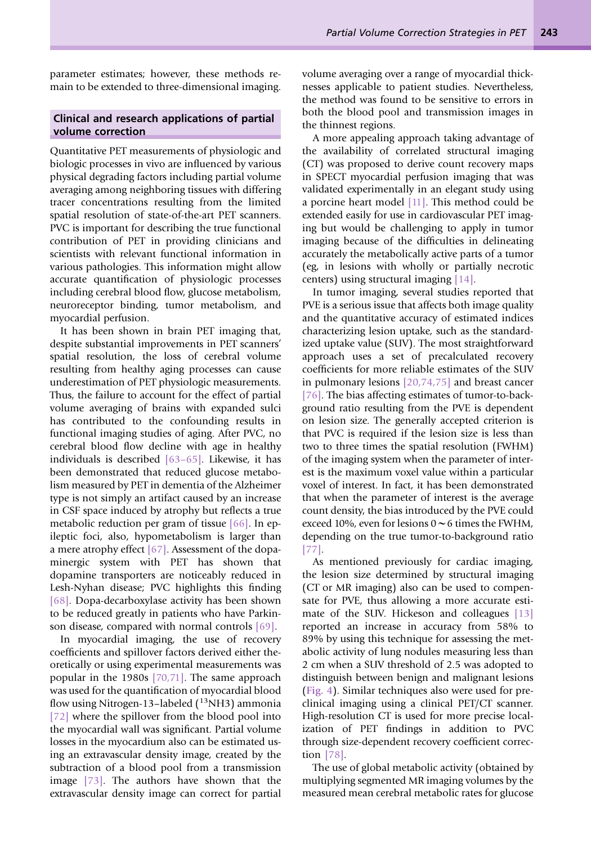parameter estimates; however, these methods remain to be extended to three-dimensional imaging.

# Clinical and research applications of partial volume correction

Quantitative PET measurements of physiologic and biologic processes in vivo are influenced by various physical degrading factors including partial volume averaging among neighboring tissues with differing tracer concentrations resulting from the limited spatial resolution of state-of-the-art PET scanners. PVC is important for describing the true functional contribution of PET in providing clinicians and scientists with relevant functional information in various pathologies. This information might allow accurate quantification of physiologic processes including cerebral blood flow, glucose metabolism, neuroreceptor binding, tumor metabolism, and myocardial perfusion.

It has been shown in brain PET imaging that, despite substantial improvements in PET scanners' spatial resolution, the loss of cerebral volume resulting from healthy aging processes can cause underestimation of PET physiologic measurements. Thus, the failure to account for the effect of partial volume averaging of brains with expanded sulci has contributed to the confounding results in functional imaging studies of aging. After PVC, no cerebral blood flow decline with age in healthy individuals is described [\[63–65\].](#page-13-0) Likewise, it has been demonstrated that reduced glucose metabolism measured by PET in dementia of the Alzheimer type is not simply an artifact caused by an increase in CSF space induced by atrophy but reflects a true metabolic reduction per gram of tissue [\[66\].](#page-13-0) In epileptic foci, also, hypometabolism is larger than a mere atrophy effect [\[67\].](#page-13-0) Assessment of the dopaminergic system with PET has shown that dopamine transporters are noticeably reduced in Lesh-Nyhan disease; PVC highlights this finding [\[68\].](#page-13-0) Dopa-decarboxylase activity has been shown to be reduced greatly in patients who have Parkinson disease, compared with normal controls [\[69\]](#page-13-0).

In myocardial imaging, the use of recovery coefficients and spillover factors derived either theoretically or using experimental measurements was popular in the 1980s [\[70,71\]](#page-13-0). The same approach was used for the quantification of myocardial blood flow using Nitrogen-13-labeled  $(^{13}$ NH3) ammonia [\[72\]](#page-13-0) where the spillover from the blood pool into the myocardial wall was significant. Partial volume losses in the myocardium also can be estimated using an extravascular density image, created by the subtraction of a blood pool from a transmission image [\[73\].](#page-13-0) The authors have shown that the extravascular density image can correct for partial volume averaging over a range of myocardial thicknesses applicable to patient studies. Nevertheless, the method was found to be sensitive to errors in both the blood pool and transmission images in the thinnest regions.

A more appealing approach taking advantage of the availability of correlated structural imaging (CT) was proposed to derive count recovery maps in SPECT myocardial perfusion imaging that was validated experimentally in an elegant study using a porcine heart model [\[11\].](#page-11-0) This method could be extended easily for use in cardiovascular PET imaging but would be challenging to apply in tumor imaging because of the difficulties in delineating accurately the metabolically active parts of a tumor (eg, in lesions with wholly or partially necrotic centers) using structural imaging [\[14\].](#page-11-0)

In tumor imaging, several studies reported that PVE is a serious issue that affects both image quality and the quantitative accuracy of estimated indices characterizing lesion uptake, such as the standardized uptake value (SUV). The most straightforward approach uses a set of precalculated recovery coefficients for more reliable estimates of the SUV in pulmonary lesions [\[20,74,75\]](#page-12-0) and breast cancer [\[76\].](#page-13-0) The bias affecting estimates of tumor-to-background ratio resulting from the PVE is dependent on lesion size. The generally accepted criterion is that PVC is required if the lesion size is less than two to three times the spatial resolution (FWHM) of the imaging system when the parameter of interest is the maximum voxel value within a particular voxel of interest. In fact, it has been demonstrated that when the parameter of interest is the average count density, the bias introduced by the PVE could exceed 10%, even for lesions  $0 \sim 6$  times the FWHM, depending on the true tumor-to-background ratio [\[77\].](#page-13-0)

As mentioned previously for cardiac imaging, the lesion size determined by structural imaging (CT or MR imaging) also can be used to compensate for PVE, thus allowing a more accurate estimate of the SUV. Hickeson and colleagues [\[13\]](#page-11-0) reported an increase in accuracy from 58% to 89% by using this technique for assessing the metabolic activity of lung nodules measuring less than 2 cm when a SUV threshold of 2.5 was adopted to distinguish between benign and malignant lesions ([Fig. 4](#page-9-0)). Similar techniques also were used for preclinical imaging using a clinical PET/CT scanner. High-resolution CT is used for more precise localization of PET findings in addition to PVC through size-dependent recovery coefficient correction [\[78\]](#page-13-0).

The use of global metabolic activity (obtained by multiplying segmented MR imaging volumes by the measured mean cerebral metabolic rates for glucose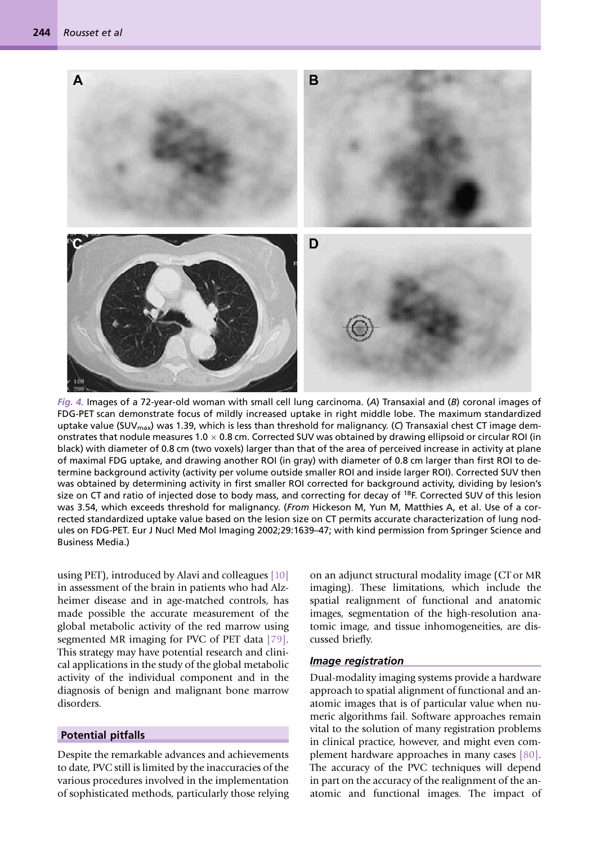<span id="page-9-0"></span>

Fig. 4. Images of a 72-year-old woman with small cell lung carcinoma. (A) Transaxial and (B) coronal images of FDG-PET scan demonstrate focus of mildly increased uptake in right middle lobe. The maximum standardized uptake value (SUV<sub>max</sub>) was 1.39, which is less than threshold for malignancy. (C) Transaxial chest CT image demonstrates that nodule measures 1.0  $\times$  0.8 cm. Corrected SUV was obtained by drawing ellipsoid or circular ROI (in black) with diameter of 0.8 cm (two voxels) larger than that of the area of perceived increase in activity at plane of maximal FDG uptake, and drawing another ROI (in gray) with diameter of 0.8 cm larger than first ROI to determine background activity (activity per volume outside smaller ROI and inside larger ROI). Corrected SUV then was obtained by determining activity in first smaller ROI corrected for background activity, dividing by lesion's size on CT and ratio of injected dose to body mass, and correcting for decay of <sup>18</sup>F. Corrected SUV of this lesion was 3.54, which exceeds threshold for malignancy. (From Hickeson M, Yun M, Matthies A, et al. Use of a corrected standardized uptake value based on the lesion size on CT permits accurate characterization of lung nodules on FDG-PET. Eur J Nucl Med Mol Imaging 2002;29:1639–47; with kind permission from Springer Science and Business Media.)

using PET), introduced by Alavi and colleagues [\[10\]](#page-11-0) in assessment of the brain in patients who had Alzheimer disease and in age-matched controls, has made possible the accurate measurement of the global metabolic activity of the red marrow using segmented MR imaging for PVC of PET data [\[79\].](#page-14-0) This strategy may have potential research and clinical applications in the study of the global metabolic activity of the individual component and in the diagnosis of benign and malignant bone marrow disorders.

# Potential pitfalls

Despite the remarkable advances and achievements to date, PVC still is limited by the inaccuracies of the various procedures involved in the implementation of sophisticated methods, particularly those relying on an adjunct structural modality image (CT or MR imaging). These limitations, which include the spatial realignment of functional and anatomic images, segmentation of the high-resolution anatomic image, and tissue inhomogeneities, are discussed briefly.

# Image registration

Dual-modality imaging systems provide a hardware approach to spatial alignment of functional and anatomic images that is of particular value when numeric algorithms fail. Software approaches remain vital to the solution of many registration problems in clinical practice, however, and might even complement hardware approaches in many cases [\[80\]](#page-14-0). The accuracy of the PVC techniques will depend in part on the accuracy of the realignment of the anatomic and functional images. The impact of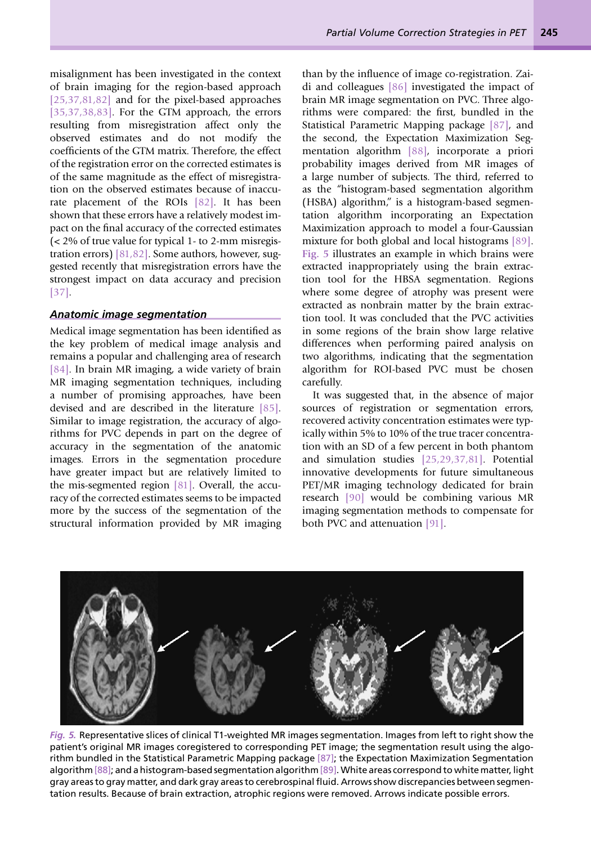misalignment has been investigated in the context of brain imaging for the region-based approach [\[25,37,81,82\]](#page-12-0) and for the pixel-based approaches [\[35,37,38,83\]](#page-12-0). For the GTM approach, the errors resulting from misregistration affect only the observed estimates and do not modify the coefficients of the GTM matrix. Therefore, the effect of the registration error on the corrected estimates is of the same magnitude as the effect of misregistration on the observed estimates because of inaccurate placement of the ROIs [\[82\]](#page-14-0). It has been shown that these errors have a relatively modest impact on the final accuracy of the corrected estimates (< 2% of true value for typical 1- to 2-mm misregistration errors) [\[81,82\]](#page-14-0). Some authors, however, suggested recently that misregistration errors have the strongest impact on data accuracy and precision [\[37\].](#page-12-0)

# Anatomic image segmentation

Medical image segmentation has been identified as the key problem of medical image analysis and remains a popular and challenging area of research [\[84\].](#page-14-0) In brain MR imaging, a wide variety of brain MR imaging segmentation techniques, including a number of promising approaches, have been devised and are described in the literature [\[85\]](#page-14-0). Similar to image registration, the accuracy of algorithms for PVC depends in part on the degree of accuracy in the segmentation of the anatomic images. Errors in the segmentation procedure have greater impact but are relatively limited to the mis-segmented region [\[81\].](#page-14-0) Overall, the accuracy of the corrected estimates seems to be impacted more by the success of the segmentation of the structural information provided by MR imaging

than by the influence of image co-registration. Zaidi and colleagues [\[86\]](#page-14-0) investigated the impact of brain MR image segmentation on PVC. Three algorithms were compared: the first, bundled in the Statistical Parametric Mapping package [\[87\],](#page-14-0) and the second, the Expectation Maximization Segmentation algorithm [\[88\]](#page-14-0), incorporate a priori probability images derived from MR images of a large number of subjects. The third, referred to as the ''histogram-based segmentation algorithm (HSBA) algorithm," is a histogram-based segmentation algorithm incorporating an Expectation Maximization approach to model a four-Gaussian mixture for both global and local histograms [\[89\].](#page-14-0) Fig. 5 illustrates an example in which brains were extracted inappropriately using the brain extraction tool for the HBSA segmentation. Regions where some degree of atrophy was present were extracted as nonbrain matter by the brain extraction tool. It was concluded that the PVC activities in some regions of the brain show large relative differences when performing paired analysis on two algorithms, indicating that the segmentation algorithm for ROI-based PVC must be chosen carefully.

It was suggested that, in the absence of major sources of registration or segmentation errors, recovered activity concentration estimates were typically within 5% to 10% of the true tracer concentration with an SD of a few percent in both phantom and simulation studies [\[25,29,37,81\].](#page-12-0) Potential innovative developments for future simultaneous PET/MR imaging technology dedicated for brain research [\[90\]](#page-14-0) would be combining various MR imaging segmentation methods to compensate for both PVC and attenuation [\[91\]](#page-14-0).



Fig. 5. Representative slices of clinical T1-weighted MR images segmentation. Images from left to right show the patient's original MR images coregistered to corresponding PET image; the segmentation result using the algorithm bundled in the Statistical Parametric Mapping package [\[87\];](#page-14-0) the Expectation Maximization Segmentation algorithm [\[88\];](#page-14-0) and a histogram-based segmentation algorithm [\[89\]](#page-14-0). White areas correspond to white matter, light gray areas to gray matter, and dark gray areas to cerebrospinal fluid. Arrows show discrepancies between segmentation results. Because of brain extraction, atrophic regions were removed. Arrows indicate possible errors.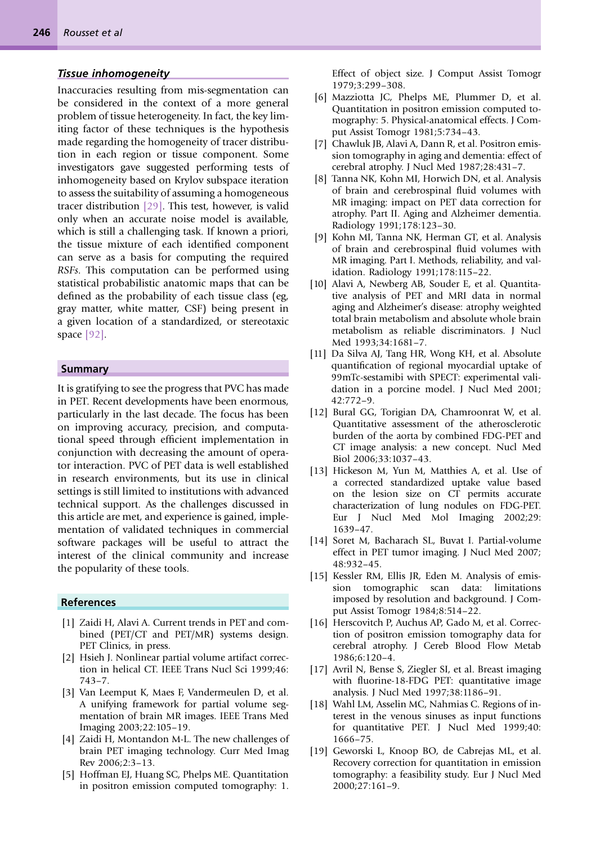# <span id="page-11-0"></span>Tissue inhomogeneity

Inaccuracies resulting from mis-segmentation can be considered in the context of a more general problem of tissue heterogeneity. In fact, the key limiting factor of these techniques is the hypothesis made regarding the homogeneity of tracer distribution in each region or tissue component. Some investigators gave suggested performing tests of inhomogeneity based on Krylov subspace iteration to assess the suitability of assuming a homogeneous tracer distribution [\[29\]](#page-12-0). This test, however, is valid only when an accurate noise model is available, which is still a challenging task. If known a priori, the tissue mixture of each identified component can serve as a basis for computing the required RSFs. This computation can be performed using statistical probabilistic anatomic maps that can be defined as the probability of each tissue class (eg, gray matter, white matter, CSF) being present in a given location of a standardized, or stereotaxic space [\[92\].](#page-14-0)

#### Summary

It is gratifying to see the progress that PVC has made in PET. Recent developments have been enormous, particularly in the last decade. The focus has been on improving accuracy, precision, and computational speed through efficient implementation in conjunction with decreasing the amount of operator interaction. PVC of PET data is well established in research environments, but its use in clinical settings is still limited to institutions with advanced technical support. As the challenges discussed in this article are met, and experience is gained, implementation of validated techniques in commercial software packages will be useful to attract the interest of the clinical community and increase the popularity of these tools.

# **References**

- [1] Zaidi H, Alavi A. Current trends in PET and combined (PET/CT and PET/MR) systems design. PET Clinics, in press.
- [2] Hsieh J. Nonlinear partial volume artifact correction in helical CT. IEEE Trans Nucl Sci 1999;46: 743–7.
- [3] Van Leemput K, Maes F, Vandermeulen D, et al. A unifying framework for partial volume segmentation of brain MR images. IEEE Trans Med Imaging 2003;22:105–19.
- [4] Zaidi H, Montandon M-L. The new challenges of brain PET imaging technology. Curr Med Imag Rev 2006;2:3–13.
- [5] Hoffman EJ, Huang SC, Phelps ME. Quantitation in positron emission computed tomography: 1.

Effect of object size. J Comput Assist Tomogr 1979;3:299–308.

- [6] Mazziotta JC, Phelps ME, Plummer D, et al. Quantitation in positron emission computed tomography: 5. Physical-anatomical effects. J Comput Assist Tomogr 1981;5:734–43.
- [7] Chawluk JB, Alavi A, Dann R, et al. Positron emission tomography in aging and dementia: effect of cerebral atrophy. J Nucl Med 1987;28:431–7.
- [8] Tanna NK, Kohn MI, Horwich DN, et al. Analysis of brain and cerebrospinal fluid volumes with MR imaging: impact on PET data correction for atrophy. Part II. Aging and Alzheimer dementia. Radiology 1991;178:123–30.
- [9] Kohn MI, Tanna NK, Herman GT, et al. Analysis of brain and cerebrospinal fluid volumes with MR imaging. Part I. Methods, reliability, and validation. Radiology 1991;178:115–22.
- [10] Alavi A, Newberg AB, Souder E, et al. Quantitative analysis of PET and MRI data in normal aging and Alzheimer's disease: atrophy weighted total brain metabolism and absolute whole brain metabolism as reliable discriminators. J Nucl Med 1993;34:1681–7.
- [11] Da Silva AJ, Tang HR, Wong KH, et al. Absolute quantification of regional myocardial uptake of 99mTc-sestamibi with SPECT: experimental validation in a porcine model. J Nucl Med 2001; 42:772–9.
- [12] Bural GG, Torigian DA, Chamroonrat W, et al. Quantitative assessment of the atherosclerotic burden of the aorta by combined FDG-PET and CT image analysis: a new concept. Nucl Med Biol 2006;33:1037–43.
- [13] Hickeson M, Yun M, Matthies A, et al. Use of a corrected standardized uptake value based on the lesion size on CT permits accurate characterization of lung nodules on FDG-PET. Eur J Nucl Med Mol Imaging 2002;29: 1639–47.
- [14] Soret M, Bacharach SL, Buvat I. Partial-volume effect in PET tumor imaging. J Nucl Med 2007; 48:932–45.
- [15] Kessler RM, Ellis JR, Eden M. Analysis of emission tomographic scan data: limitations imposed by resolution and background. J Comput Assist Tomogr 1984;8:514–22.
- [16] Herscovitch P, Auchus AP, Gado M, et al. Correction of positron emission tomography data for cerebral atrophy. J Cereb Blood Flow Metab 1986;6:120–4.
- [17] Avril N, Bense S, Ziegler SI, et al. Breast imaging with fluorine-18-FDG PET: quantitative image analysis. J Nucl Med 1997;38:1186–91.
- [18] Wahl LM, Asselin MC, Nahmias C. Regions of interest in the venous sinuses as input functions for quantitative PET. J Nucl Med 1999;40: 1666–75.
- [19] Geworski L, Knoop BO, de Cabrejas ML, et al. Recovery correction for quantitation in emission tomography: a feasibility study. Eur J Nucl Med 2000;27:161–9.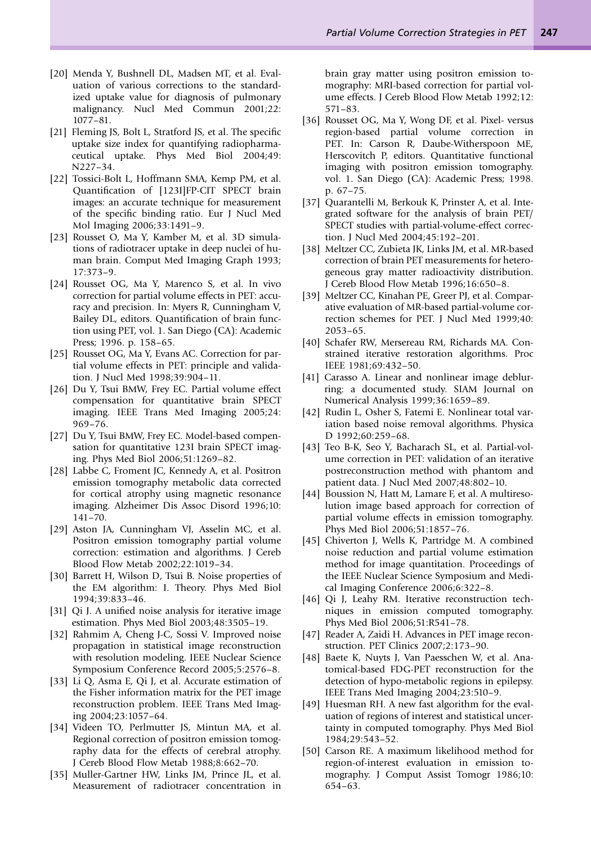- <span id="page-12-0"></span>[20] Menda Y, Bushnell DL, Madsen MT, et al. Evaluation of various corrections to the standardized uptake value for diagnosis of pulmonary malignancy. Nucl Med Commun 2001;22: 1077–81.
- [21] Fleming JS, Bolt L, Stratford JS, et al. The specific uptake size index for quantifying radiopharmaceutical uptake. Phys Med Biol 2004;49: N227–34.
- [22] Tossici-Bolt L, Hoffmann SMA, Kemp PM, et al. Quantification of [123I]FP-CIT SPECT brain images: an accurate technique for measurement of the specific binding ratio. Eur J Nucl Med Mol Imaging 2006;33:1491–9.
- [23] Rousset O, Ma Y, Kamber M, et al. 3D simulations of radiotracer uptake in deep nuclei of human brain. Comput Med Imaging Graph 1993; 17:373–9.
- [24] Rousset OG, Ma Y, Marenco S, et al. In vivo correction for partial volume effects in PET: accuracy and precision. In: Myers R, Cunningham V, Bailey DL, editors. Quantification of brain function using PET, vol. 1. San Diego (CA): Academic Press; 1996. p. 158–65.
- [25] Rousset OG, Ma Y, Evans AC. Correction for partial volume effects in PET: principle and validation. J Nucl Med 1998;39:904–11.
- [26] Du Y, Tsui BMW, Frey EC. Partial volume effect compensation for quantitative brain SPECT imaging. IEEE Trans Med Imaging 2005;24: 969–76.
- [27] Du Y, Tsui BMW, Frey EC. Model-based compensation for quantitative 123I brain SPECT imaging. Phys Med Biol 2006;51:1269–82.
- [28] Labbe C, Froment JC, Kennedy A, et al. Positron emission tomography metabolic data corrected for cortical atrophy using magnetic resonance imaging. Alzheimer Dis Assoc Disord 1996;10: 141–70.
- [29] Aston JA, Cunningham VJ, Asselin MC, et al. Positron emission tomography partial volume correction: estimation and algorithms. J Cereb Blood Flow Metab 2002;22:1019–34.
- [30] Barrett H, Wilson D, Tsui B. Noise properties of the EM algorithm: I. Theory. Phys Med Biol 1994;39:833–46.
- [31] Qi J. A unified noise analysis for iterative image estimation. Phys Med Biol 2003;48:3505–19.
- [32] Rahmim A, Cheng J-C, Sossi V. Improved noise propagation in statistical image reconstruction with resolution modeling. IEEE Nuclear Science Symposium Conference Record 2005;5:2576–8.
- [33] Li Q, Asma E, Qi J, et al. Accurate estimation of the Fisher information matrix for the PET image reconstruction problem. IEEE Trans Med Imaging 2004;23:1057–64.
- [34] Videen TO, Perlmutter JS, Mintun MA, et al. Regional correction of positron emission tomography data for the effects of cerebral atrophy. J Cereb Blood Flow Metab 1988;8:662–70.
- [35] Muller-Gartner HW, Links JM, Prince JL, et al. Measurement of radiotracer concentration in

brain gray matter using positron emission tomography: MRI-based correction for partial volume effects. J Cereb Blood Flow Metab 1992;12: 571–83.

- [36] Rousset OG, Ma Y, Wong DF, et al. Pixel- versus region-based partial volume correction in PET. In: Carson R, Daube-Witherspoon ME, Herscovitch P, editors. Quantitative functional imaging with positron emission tomography. vol. 1. San Diego (CA): Academic Press; 1998. p. 67–75.
- [37] Quarantelli M, Berkouk K, Prinster A, et al. Integrated software for the analysis of brain PET/ SPECT studies with partial-volume-effect correction. J Nucl Med 2004;45:192–201.
- [38] Meltzer CC, Zubieta JK, Links JM, et al. MR-based correction of brain PET measurements for heterogeneous gray matter radioactivity distribution. J Cereb Blood Flow Metab 1996;16:650–8.
- [39] Meltzer CC, Kinahan PE, Greer PJ, et al. Comparative evaluation of MR-based partial-volume correction schemes for PET. J Nucl Med 1999;40: 2053–65.
- [40] Schafer RW, Mersereau RM, Richards MA. Constrained iterative restoration algorithms. Proc IEEE 1981;69:432–50.
- [41] Carasso A. Linear and nonlinear image deblurring: a documented study. SIAM Journal on Numerical Analysis 1999;36:1659–89.
- [42] Rudin L, Osher S, Fatemi E. Nonlinear total variation based noise removal algorithms. Physica D 1992;60:259–68.
- [43] Teo B-K, Seo Y, Bacharach SL, et al. Partial-volume correction in PET: validation of an iterative postreconstruction method with phantom and patient data. J Nucl Med 2007;48:802–10.
- [44] Boussion N, Hatt M, Lamare F, et al. A multiresolution image based approach for correction of partial volume effects in emission tomography. Phys Med Biol 2006;51:1857–76.
- [45] Chiverton J, Wells K, Partridge M. A combined noise reduction and partial volume estimation method for image quantitation. Proceedings of the IEEE Nuclear Science Symposium and Medical Imaging Conference 2006;6:322–8.
- [46] Qi J, Leahy RM. Iterative reconstruction techniques in emission computed tomography. Phys Med Biol 2006;51:R541–78.
- [47] Reader A, Zaidi H. Advances in PET image reconstruction. PET Clinics 2007;2:173–90.
- [48] Baete K, Nuyts J, Van Paesschen W, et al. Anatomical-based FDG-PET reconstruction for the detection of hypo-metabolic regions in epilepsy. IEEE Trans Med Imaging 2004;23:510–9.
- [49] Huesman RH. A new fast algorithm for the evaluation of regions of interest and statistical uncertainty in computed tomography. Phys Med Biol 1984;29:543–52.
- [50] Carson RE. A maximum likelihood method for region-of-interest evaluation in emission tomography. J Comput Assist Tomogr 1986;10: 654–63.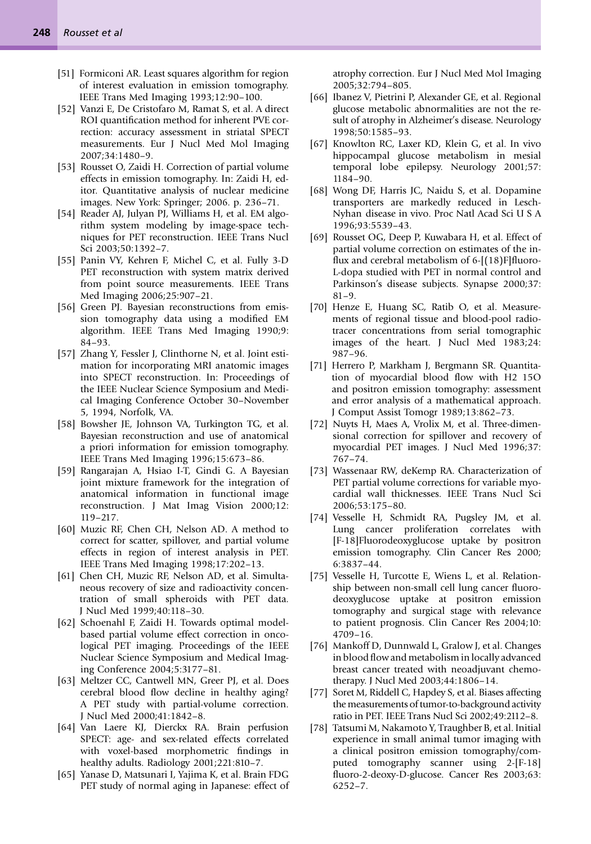- <span id="page-13-0"></span>[51] Formiconi AR. Least squares algorithm for region of interest evaluation in emission tomography. IEEE Trans Med Imaging 1993;12:90–100.
- [52] Vanzi E, De Cristofaro M, Ramat S, et al. A direct ROI quantification method for inherent PVE correction: accuracy assessment in striatal SPECT measurements. Eur J Nucl Med Mol Imaging 2007;34:1480–9.
- [53] Rousset O, Zaidi H. Correction of partial volume effects in emission tomography. In: Zaidi H, editor. Quantitative analysis of nuclear medicine images. New York: Springer; 2006. p. 236–71.
- [54] Reader AJ, Julyan PJ, Williams H, et al. EM algorithm system modeling by image-space techniques for PET reconstruction. IEEE Trans Nucl Sci 2003;50:1392–7.
- [55] Panin VY, Kehren F, Michel C, et al. Fully 3-D PET reconstruction with system matrix derived from point source measurements. IEEE Trans Med Imaging 2006;25:907–21.
- [56] Green PJ. Bayesian reconstructions from emission tomography data using a modified EM algorithm. IEEE Trans Med Imaging 1990;9: 84–93.
- [57] Zhang Y, Fessler J, Clinthorne N, et al. Joint estimation for incorporating MRI anatomic images into SPECT reconstruction. In: Proceedings of the IEEE Nuclear Science Symposium and Medical Imaging Conference October 30–November 5, 1994, Norfolk, VA.
- [58] Bowsher JE, Johnson VA, Turkington TG, et al. Bayesian reconstruction and use of anatomical a priori information for emission tomography. IEEE Trans Med Imaging 1996;15:673–86.
- [59] Rangarajan A, Hsiao I-T, Gindi G. A Bayesian joint mixture framework for the integration of anatomical information in functional image reconstruction. J Mat Imag Vision 2000;12: 119–217.
- [60] Muzic RF, Chen CH, Nelson AD. A method to correct for scatter, spillover, and partial volume effects in region of interest analysis in PET. IEEE Trans Med Imaging 1998;17:202–13.
- [61] Chen CH, Muzic RF, Nelson AD, et al. Simultaneous recovery of size and radioactivity concentration of small spheroids with PET data. J Nucl Med 1999;40:118–30.
- [62] Schoenahl F, Zaidi H. Towards optimal modelbased partial volume effect correction in oncological PET imaging. Proceedings of the IEEE Nuclear Science Symposium and Medical Imaging Conference 2004;5:3177–81.
- [63] Meltzer CC, Cantwell MN, Greer PJ, et al. Does cerebral blood flow decline in healthy aging? A PET study with partial-volume correction. J Nucl Med 2000;41:1842–8.
- [64] Van Laere KJ, Dierckx RA. Brain perfusion SPECT: age- and sex-related effects correlated with voxel-based morphometric findings in healthy adults. Radiology 2001;221:810-7.
- [65] Yanase D, Matsunari I, Yajima K, et al. Brain FDG PET study of normal aging in Japanese: effect of

atrophy correction. Eur J Nucl Med Mol Imaging 2005;32:794–805.

- [66] Ibanez V, Pietrini P, Alexander GE, et al. Regional glucose metabolic abnormalities are not the result of atrophy in Alzheimer's disease. Neurology 1998;50:1585–93.
- [67] Knowlton RC, Laxer KD, Klein G, et al. In vivo hippocampal glucose metabolism in mesial temporal lobe epilepsy. Neurology 2001;57: 1184–90.
- [68] Wong DF, Harris JC, Naidu S, et al. Dopamine transporters are markedly reduced in Lesch-Nyhan disease in vivo. Proc Natl Acad Sci U S A 1996;93:5539–43.
- [69] Rousset OG, Deep P, Kuwabara H, et al. Effect of partial volume correction on estimates of the influx and cerebral metabolism of 6-[(18)F]fluoro-L-dopa studied with PET in normal control and Parkinson's disease subjects. Synapse 2000;37: 81–9.
- [70] Henze E, Huang SC, Ratib O, et al. Measurements of regional tissue and blood-pool radiotracer concentrations from serial tomographic images of the heart. J Nucl Med 1983;24: 987–96.
- [71] Herrero P, Markham J, Bergmann SR. Quantitation of myocardial blood flow with H2 15O and positron emission tomography: assessment and error analysis of a mathematical approach. J Comput Assist Tomogr 1989;13:862–73.
- [72] Nuyts H, Maes A, Vrolix M, et al. Three-dimensional correction for spillover and recovery of myocardial PET images. J Nucl Med 1996;37: 767–74.
- [73] Wassenaar RW, deKemp RA. Characterization of PET partial volume corrections for variable myocardial wall thicknesses. IEEE Trans Nucl Sci 2006;53:175–80.
- [74] Vesselle H, Schmidt RA, Pugsley JM, et al. Lung cancer proliferation correlates with [F-18]Fluorodeoxyglucose uptake by positron emission tomography. Clin Cancer Res 2000; 6:3837–44.
- [75] Vesselle H, Turcotte E, Wiens L, et al. Relationship between non-small cell lung cancer fluorodeoxyglucose uptake at positron emission tomography and surgical stage with relevance to patient prognosis. Clin Cancer Res 2004;10: 4709–16.
- [76] Mankoff D, Dunnwald L, Gralow J, et al. Changes in blood flow and metabolism in locally advanced breast cancer treated with neoadjuvant chemotherapy. J Nucl Med 2003;44:1806–14.
- [77] Soret M, Riddell C, Hapdey S, et al. Biases affecting the measurements of tumor-to-background activity ratio in PET. IEEE Trans Nucl Sci 2002;49:2112–8.
- [78] Tatsumi M, Nakamoto Y, Traughber B, et al. Initial experience in small animal tumor imaging with a clinical positron emission tomography/computed tomography scanner using 2-[F-18] fluoro-2-deoxy-D-glucose. Cancer Res 2003;63: 6252–7.